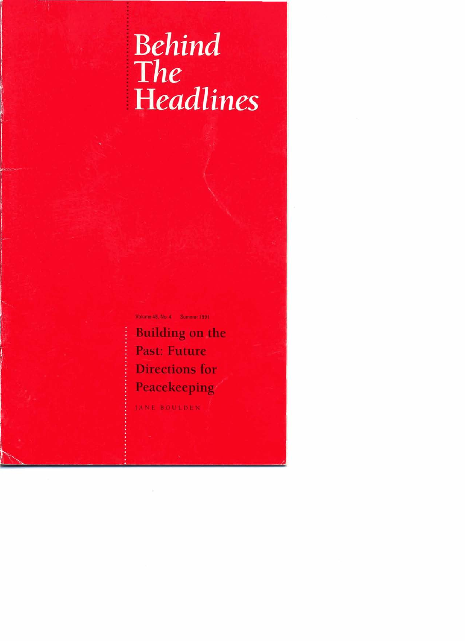# **Behind The**<br>**Headlines**

Vdunr **H. No.** *I* **Sumr 1901** 

**Building on the** Past: Future **Directions for Peacekeeping.** 

**IXNE BOULDEN**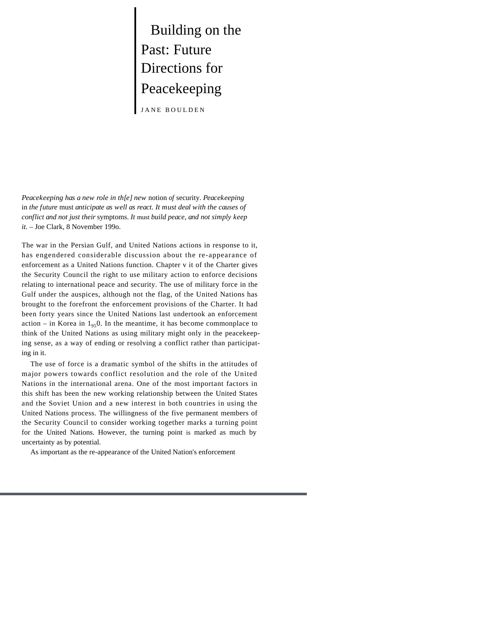Building on the Past: Future Directions for Peacekeeping

JANE BOULDEN

*Peacekeeping has a new role in th[e] new* notion *of* security. *Peacekeeping*  in *the future* must *anticipate as well as react. It must deal with the causes of conflict and not just their* symptoms. *It* must *build peace, and not simply keep it. –* Joe Clark, 8 November 199o.

The war in the Persian Gulf, and United Nations actions in response to it, has engendered considerable discussion about the re-appearance of enforcement as a United Nations function. Chapter v it of the Charter gives the Security Council the right to use military action to enforce decisions relating to international peace and security. The use of military force in the Gulf under the auspices, although not the flag, of the United Nations has brought to the forefront the enforcement provisions of the Charter. It had been forty years since the United Nations last undertook an enforcement action – in Korea in  $1_{95}$ 0. In the meantime, it has become commonplace to think of the United Nations as using military might only in the peacekeeping sense, as a way of ending or resolving a conflict rather than participating in it.

The use of force is a dramatic symbol of the shifts in the attitudes of major powers towards conflict resolution and the role of the United Nations in the international arena. One of the most important factors in this shift has been the new working relationship between the United States and the Soviet Union and a new interest in both countries in using the United Nations process. The willingness of the five permanent members of the Security Council to consider working together marks a turning point for the United Nations. However, the turning point is marked as much by uncertainty as by potential.

As important as the re-appearance of the United Nation's enforcement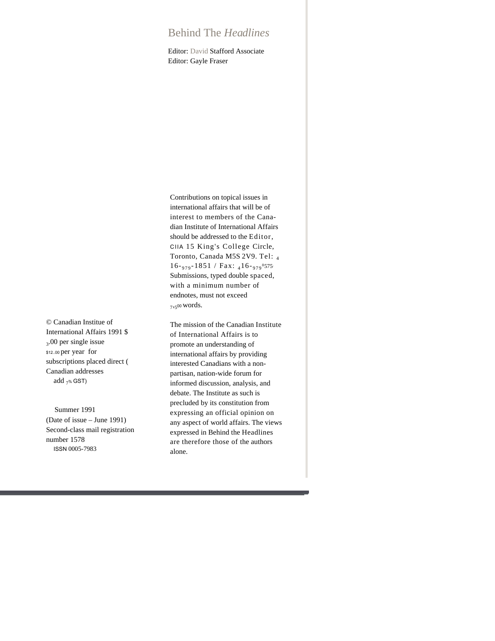# Behind The *Headlines*

Editor: David Stafford Associate Editor: Gayle Fraser

© Canadian Institue of International Affairs 1991 \$ 3 .00 per single issue \$12..00 per year for subscriptions placed direct ( Canadian addresses add  $7%$  GST)

Summer 1991 (Date of issue – June 1991) Second-class mail registration number 1578 ISSN 0005-7983

Contributions on topical issues in international affairs that will be of interest to members of the Canadian Institute of International Affairs should be addressed to the Editor, CIIA 15 King's College Circle, Toronto, Canada M5S 2V9. Tel: <sup>4</sup>  $16$ - 979 - 1851 / Fax: 416 - 979<sup>8</sup>575 Submissions, typed double spaced, with a minimum number of endnotes, must not exceed 7 ,5 <sup>00</sup> words.

The mission of the Canadian Institute of International Affairs is to promote an understanding of international affairs by providing interested Canadians with a nonpartisan, nation-wide forum for informed discussion, analysis, and debate. The Institute as such is precluded by its constitution from expressing an official opinion on any aspect of world affairs. The views expressed in Behind the Headlines are therefore those of the authors alone.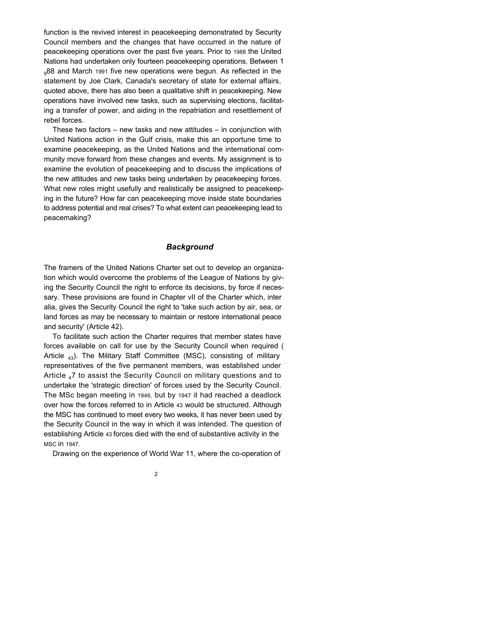function is the revived interest in peacekeeping demonstrated by Security Council members and the changes that have occurred in the nature of peacekeeping operations over the past five years. Prior to 1988 the United Nations had undertaken only fourteen peacekeeping operations. Between 1 <sub>0</sub>88 and March 1991 five new operations were begun. As reflected in the statement by Joe Clark, Canada's secretary of state for external affairs, quoted above, there has also been a qualitative shift in peacekeeping. New operations have involved new tasks, such as supervising elections, facilitating a transfer of power, and aiding in the repatriation and resettlement of rebel forces.

These two factors – new tasks and new attitudes – in conjunction with United Nations action in the Gulf crisis, make this an opportune time to examine peacekeeping, as the United Nations and the international community move forward from these changes and events. My assignment is to examine the evolution of peacekeeping and to discuss the implications of the new attitudes and new tasks being undertaken by peacekeeping forces. What new roles might usefully and realistically be assigned to peacekeeping in the future? How far can peacekeeping move inside state boundaries to address potential and real crises? To what extent can peacekeeping lead to peacemaking?

# *Background*

The framers of the United Nations Charter set out to develop an organization which would overcome the problems of the League of Nations by giving the Security Council the right to enforce its decisions, by force if necessary. These provisions are found in Chapter vII of the Charter which, inter alia, gives the Security Council the right to 'take such action by air, sea, or land forces as may be necessary to maintain or restore international peace and security' (Article 42).

To facilitate such action the Charter requires that member states have forces available on call for use by the Security Council when required ( Article  $_{43}$ ). The Military Staff Committee (MSC), consisting of military representatives of the five permanent members, was established under Article  $_4$ 7 to assist the Security Council on military questions and to undertake the 'strategic direction' of forces used by the Security Council. The MSc began meeting in 1946, but by 1947 it had reached a deadlock over how the forces referred to in Article 43 would be structured. Although the MSC has continued to meet every two weeks, it has never been used by the Security Council in the way in which it was intended. The question of establishing Article 43 forces died with the end of substantive activity in the MSC in 1947.

Drawing on the experience of World War 11, where the co-operation of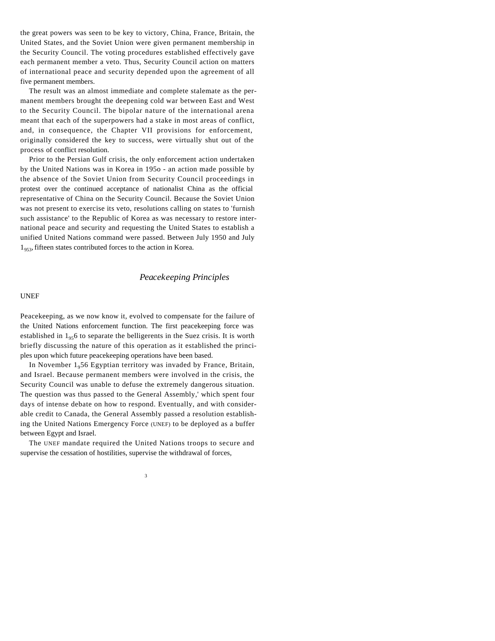the great powers was seen to be key to victory, China, France, Britain, the United States, and the Soviet Union were given permanent membership in the Security Council. The voting procedures established effectively gave each permanent member a veto. Thus, Security Council action on matters of international peace and security depended upon the agreement of all five permanent members.

The result was an almost immediate and complete stalemate as the permanent members brought the deepening cold war between East and West to the Security Council. The bipolar nature of the international arena meant that each of the superpowers had a stake in most areas of conflict, and, in consequence, the Chapter VII provisions for enforcement, originally considered the key to success, were virtually shut out of the process of conflict resolution.

Prior to the Persian Gulf crisis, the only enforcement action undertaken by the United Nations was in Korea in 195o - an action made possible by the absence of the Soviet Union from Security Council proceedings in protest over the continued acceptance of nationalist China as the official representative of China on the Security Council. Because the Soviet Union was not present to exercise its veto, resolutions calling on states to 'furnish such assistance' to the Republic of Korea as was necessary to restore international peace and security and requesting the United States to establish a unified United Nations command were passed. Between July 1950 and July  $1_{953}$ , fifteen states contributed forces to the action in Korea.

# *Peacekeeping Principles*

### UNEF

Peacekeeping, as we now know it, evolved to compensate for the failure of the United Nations enforcement function. The first peacekeeping force was established in  $1_{95}$  to separate the belligerents in the Suez crisis. It is worth briefly discussing the nature of this operation as it established the principles upon which future peacekeeping operations have been based.

In November  $1<sub>9</sub>56$  Egyptian territory was invaded by France, Britain, and Israel. Because permanent members were involved in the crisis, the Security Council was unable to defuse the extremely dangerous situation. The question was thus passed to the General Assembly,' which spent four days of intense debate on how to respond. Eventually, and with considerable credit to Canada, the General Assembly passed a resolution establishing the United Nations Emergency Force (UNEF) to be deployed as a buffer between Egypt and Israel.

The UNEF mandate required the United Nations troops to secure and supervise the cessation of hostilities, supervise the withdrawal of forces,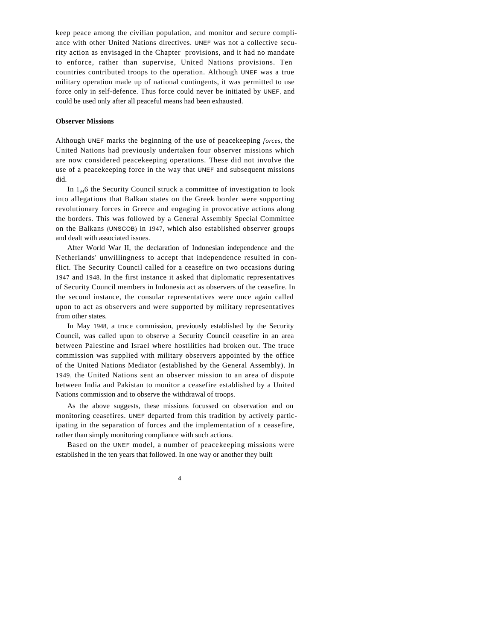keep peace among the civilian population, and monitor and secure compliance with other United Nations directives. UNEF was not a collective security action as envisaged in the Chapter provisions, and it had no mandate to enforce, rather than supervise, United Nations provisions. Ten countries contributed troops to the operation. Although UNEF was a true military operation made up of national contingents, it was permitted to use force only in self-defence. Thus force could never be initiated by UNEF, and could be used only after all peaceful means had been exhausted.

### **Observer Missions**

Although UNEF marks the beginning of the use of peacekeeping *forces,* the United Nations had previously undertaken four observer missions which are now considered peacekeeping operations. These did not involve the use of a peacekeeping force in the way that UNEF and subsequent missions did.

In  $1_{94}$ 6 the Security Council struck a committee of investigation to look into allegations that Balkan states on the Greek border were supporting revolutionary forces in Greece and engaging in provocative actions along the borders. This was followed by a General Assembly Special Committee on the Balkans (UNSCOB) in 1947, which also established observer groups and dealt with associated issues.

After World War II, the declaration of Indonesian independence and the Netherlands' unwillingness to accept that independence resulted in conflict. The Security Council called for a ceasefire on two occasions during 1947 and 1948. In the first instance it asked that diplomatic representatives of Security Council members in Indonesia act as observers of the ceasefire. In the second instance, the consular representatives were once again called upon to act as observers and were supported by military representatives from other states.

In May 1948, a truce commission, previously established by the Security Council, was called upon to observe a Security Council ceasefire in an area between Palestine and Israel where hostilities had broken out. The truce commission was supplied with military observers appointed by the office of the United Nations Mediator (established by the General Assembly). In 1949, the United Nations sent an observer mission to an area of dispute between India and Pakistan to monitor a ceasefire established by a United Nations commission and to observe the withdrawal of troops.

As the above suggests, these missions focussed on observation and on monitoring ceasefires. UNEF departed from this tradition by actively participating in the separation of forces and the implementation of a ceasefire, rather than simply monitoring compliance with such actions.

Based on the UNEF model, a number of peacekeeping missions were established in the ten years that followed. In one way or another they built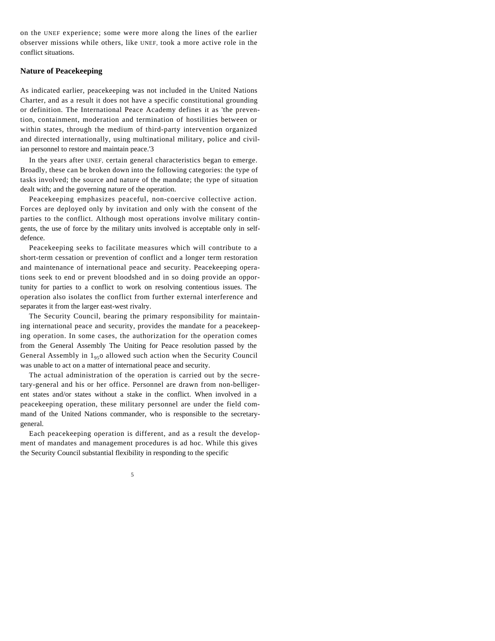on the UNEF experience; some were more along the lines of the earlier observer missions while others, like UNEF, took a more active role in the conflict situations.

# **Nature of Peacekeeping**

As indicated earlier, peacekeeping was not included in the United Nations Charter, and as a result it does not have a specific constitutional grounding or definition. The International Peace Academy defines it as 'the prevention, containment, moderation and termination of hostilities between or within states, through the medium of third-party intervention organized and directed internationally, using multinational military, police and civilian personnel to restore and maintain peace.'3

In the years after UNEF, certain general characteristics began to emerge. Broadly, these can be broken down into the following categories: the type of tasks involved; the source and nature of the mandate; the type of situation dealt with; and the governing nature of the operation.

Peacekeeping emphasizes peaceful, non-coercive collective action. Forces are deployed only by invitation and only with the consent of the parties to the conflict. Although most operations involve military contingents, the use of force by the military units involved is acceptable only in selfdefence.

Peacekeeping seeks to facilitate measures which will contribute to a short-term cessation or prevention of conflict and a longer term restoration and maintenance of international peace and security. Peacekeeping operations seek to end or prevent bloodshed and in so doing provide an opportunity for parties to a conflict to work on resolving contentious issues. The operation also isolates the conflict from further external interference and separates it from the larger east-west rivalry.

The Security Council, bearing the primary responsibility for maintaining international peace and security, provides the mandate for a peacekeeping operation. In some cases, the authorization for the operation comes from the General Assembly The Uniting for Peace resolution passed by the General Assembly in  $1_{95}$  allowed such action when the Security Council was unable to act on a matter of international peace and security.

The actual administration of the operation is carried out by the secretary-general and his or her office. Personnel are drawn from non-belligerent states and/or states without a stake in the conflict. When involved in a peacekeeping operation, these military personnel are under the field command of the United Nations commander, who is responsible to the secretarygeneral.

Each peacekeeping operation is different, and as a result the development of mandates and management procedures is ad hoc. While this gives the Security Council substantial flexibility in responding to the specific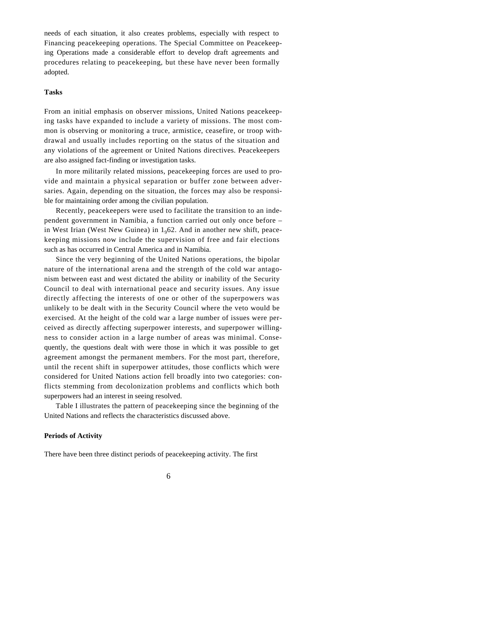needs of each situation, it also creates problems, especially with respect to Financing peacekeeping operations. The Special Committee on Peacekeeping Operations made a considerable effort to develop draft agreements and procedures relating to peacekeeping, but these have never been formally adopted.

### **Tasks**

From an initial emphasis on observer missions, United Nations peacekeeping tasks have expanded to include a variety of missions. The most common is observing or monitoring a truce, armistice, ceasefire, or troop withdrawal and usually includes reporting on the status of the situation and any violations of the agreement or United Nations directives. Peacekeepers are also assigned fact-finding or investigation tasks.

In more militarily related missions, peacekeeping forces are used to provide and maintain a physical separation or buffer zone between adversaries. Again, depending on the situation, the forces may also be responsible for maintaining order among the civilian population.

Recently, peacekeepers were used to facilitate the transition to an independent government in Namibia, a function carried out only once before – in West Irian (West New Guinea) in  $1_0$ 62. And in another new shift, peacekeeping missions now include the supervision of free and fair elections such as has occurred in Central America and in Namibia.

Since the very beginning of the United Nations operations, the bipolar nature of the international arena and the strength of the cold war antagonism between east and west dictated the ability or inability of the Security Council to deal with international peace and security issues. Any issue directly affecting the interests of one or other of the superpowers was unlikely to be dealt with in the Security Council where the veto would be exercised. At the height of the cold war a large number of issues were perceived as directly affecting superpower interests, and superpower willingness to consider action in a large number of areas was minimal. Consequently, the questions dealt with were those in which it was possible to get agreement amongst the permanent members. For the most part, therefore, until the recent shift in superpower attitudes, those conflicts which were considered for United Nations action fell broadly into two categories: conflicts stemming from decolonization problems and conflicts which both superpowers had an interest in seeing resolved.

Table I illustrates the pattern of peacekeeping since the beginning of the United Nations and reflects the characteristics discussed above.

### **Periods of Activity**

There have been three distinct periods of peacekeeping activity. The first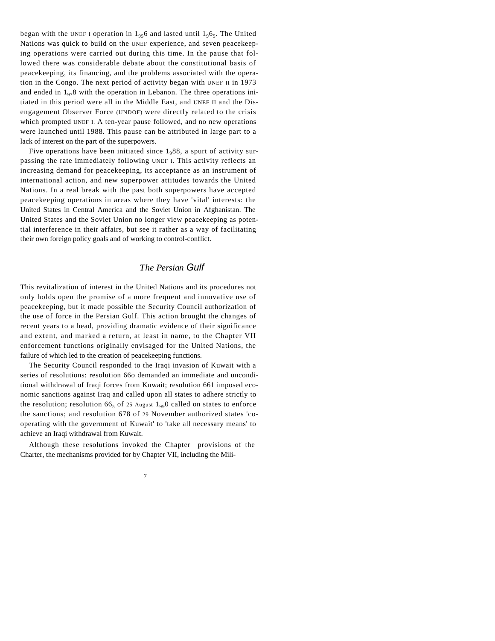began with the UNEF I operation in  $1_{95}6$  and lasted until  $1_{9}6_{5}$ . The United Nations was quick to build on the UNEF experience, and seven peacekeeping operations were carried out during this time. In the pause that followed there was considerable debate about the constitutional basis of peacekeeping, its financing, and the problems associated with the operation in the Congo. The next period of activity began with UNEF II in 1973 and ended in  $1<sub>07</sub>8$  with the operation in Lebanon. The three operations initiated in this period were all in the Middle East, and UNEF II and the Disengagement Observer Force (UNDOF) were directly related to the crisis which prompted UNEF I. A ten-year pause followed, and no new operations were launched until 1988. This pause can be attributed in large part to a lack of interest on the part of the superpowers.

Five operations have been initiated since  $1<sub>9</sub>88$ , a spurt of activity surpassing the rate immediately following UNEF I. This activity reflects an increasing demand for peacekeeping, its acceptance as an instrument of international action, and new superpower attitudes towards the United Nations. In a real break with the past both superpowers have accepted peacekeeping operations in areas where they have 'vital' interests: the United States in Central America and the Soviet Union in Afghanistan. The United States and the Soviet Union no longer view peacekeeping as potential interference in their affairs, but see it rather as a way of facilitating their own foreign policy goals and of working to control-conflict.

# *The Persian Gulf*

This revitalization of interest in the United Nations and its procedures not only holds open the promise of a more frequent and innovative use of peacekeeping, but it made possible the Security Council authorization of the use of force in the Persian Gulf. This action brought the changes of recent years to a head, providing dramatic evidence of their significance and extent, and marked a return, at least in name, to the Chapter VII enforcement functions originally envisaged for the United Nations, the failure of which led to the creation of peacekeeping functions.

The Security Council responded to the Iraqi invasion of Kuwait with a series of resolutions: resolution 66o demanded an immediate and unconditional withdrawal of Iraqi forces from Kuwait; resolution 661 imposed economic sanctions against Iraq and called upon all states to adhere strictly to the resolution; resolution 66<sub>5</sub> of 25 August  $1_{99}$  called on states to enforce the sanctions; and resolution 678 of 29 November authorized states 'cooperating with the government of Kuwait' to 'take all necessary means' to achieve an Iraqi withdrawal from Kuwait.

Although these resolutions invoked the Chapter provisions of the Charter, the mechanisms provided for by Chapter VII, including the Mili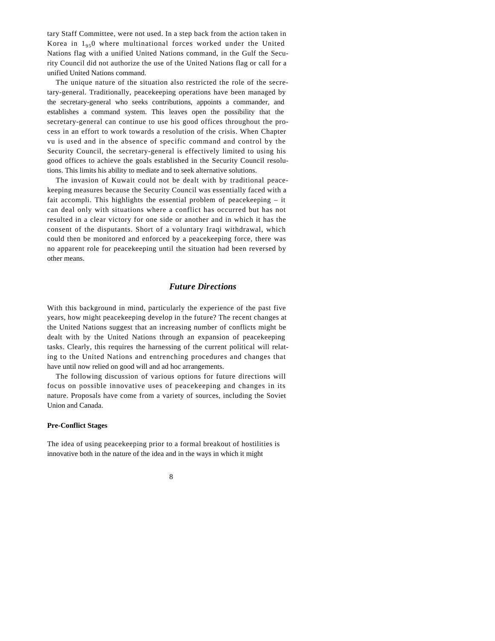tary Staff Committee, were not used. In a step back from the action taken in Korea in  $1_{95}$  where multinational forces worked under the United Nations flag with a unified United Nations command, in the Gulf the Security Council did not authorize the use of the United Nations flag or call for a unified United Nations command.

The unique nature of the situation also restricted the role of the secretary-general. Traditionally, peacekeeping operations have been managed by the secretary-general who seeks contributions, appoints a commander, and establishes a command system. This leaves open the possibility that the secretary-general can continue to use his good offices throughout the process in an effort to work towards a resolution of the crisis. When Chapter vu is used and in the absence of specific command and control by the Security Council, the secretary-general is effectively limited to using his good offices to achieve the goals established in the Security Council resolutions. This limits his ability to mediate and to seek alternative solutions.

The invasion of Kuwait could not be dealt with by traditional peacekeeping measures because the Security Council was essentially faced with a fait accompli. This highlights the essential problem of peacekeeping – it can deal only with situations where a conflict has occurred but has not resulted in a clear victory for one side or another and in which it has the consent of the disputants. Short of a voluntary Iraqi withdrawal, which could then be monitored and enforced by a peacekeeping force, there was no apparent role for peacekeeping until the situation had been reversed by other means.

# *Future Directions*

With this background in mind, particularly the experience of the past five years, how might peacekeeping develop in the future? The recent changes at the United Nations suggest that an increasing number of conflicts might be dealt with by the United Nations through an expansion of peacekeeping tasks. Clearly, this requires the harnessing of the current political will relating to the United Nations and entrenching procedures and changes that have until now relied on good will and ad hoc arrangements.

The following discussion of various options for future directions will focus on possible innovative uses of peacekeeping and changes in its nature. Proposals have come from a variety of sources, including the Soviet Union and Canada.

### **Pre-Conflict Stages**

The idea of using peacekeeping prior to a formal breakout of hostilities is innovative both in the nature of the idea and in the ways in which it might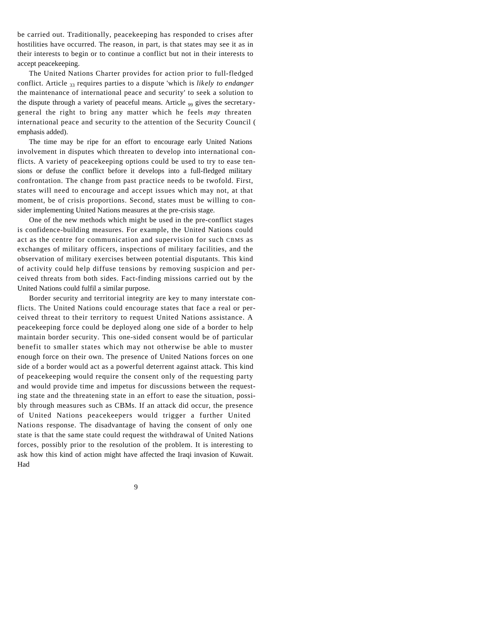be carried out. Traditionally, peacekeeping has responded to crises after hostilities have occurred. The reason, in part, is that states may see it as in their interests to begin or to continue a conflict but not in their interests to accept peacekeeping.

The United Nations Charter provides for action prior to full-fledged conflict. Article 33 requires parties to a dispute 'which is *likely to endanger*  the maintenance of international peace and security' to seek a solution to the dispute through a variety of peaceful means. Article  $_{00}$  gives the secretarygeneral the right to bring any matter which he feels *may* threaten international peace and security to the attention of the Security Council ( emphasis added).

The time may be ripe for an effort to encourage early United Nations involvement in disputes which threaten to develop into international conflicts. A variety of peacekeeping options could be used to try to ease tensions or defuse the conflict before it develops into a full-fledged military confrontation. The change from past practice needs to be twofold. First, states will need to encourage and accept issues which may not, at that moment, be of crisis proportions. Second, states must be willing to consider implementing United Nations measures at the pre-crisis stage.

One of the new methods which might be used in the pre-conflict stages is confidence-building measures. For example, the United Nations could act as the centre for communication and supervision for such CBMS as exchanges of military officers, inspections of military facilities, and the observation of military exercises between potential disputants. This kind of activity could help diffuse tensions by removing suspicion and perceived threats from both sides. Fact-finding missions carried out by the United Nations could fulfil a similar purpose.

Border security and territorial integrity are key to many interstate conflicts. The United Nations could encourage states that face a real or perceived threat to their territory to request United Nations assistance. A peacekeeping force could be deployed along one side of a border to help maintain border security. This one-sided consent would be of particular benefit to smaller states which may not otherwise be able to muster enough force on their own. The presence of United Nations forces on one side of a border would act as a powerful deterrent against attack. This kind of peacekeeping would require the consent only of the requesting party and would provide time and impetus for discussions between the requesting state and the threatening state in an effort to ease the situation, possibly through measures such as CBMs. If an attack did occur, the presence of United Nations peacekeepers would trigger a further United Nations response. The disadvantage of having the consent of only one state is that the same state could request the withdrawal of United Nations forces, possibly prior to the resolution of the problem. It is interesting to ask how this kind of action might have affected the Iraqi invasion of Kuwait. Had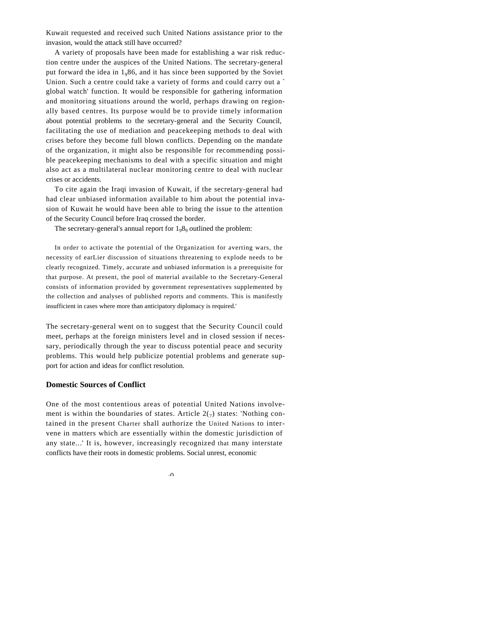Kuwait requested and received such United Nations assistance prior to the invasion, would the attack still have occurred?

A variety of proposals have been made for establishing a war risk reduction centre under the auspices of the United Nations. The secretary-general put forward the idea in  $1<sub>9</sub>86$ , and it has since been supported by the Soviet Union. Such a centre could take a variety of forms and could carry out a ` global watch' function. It would be responsible for gathering information and monitoring situations around the world, perhaps drawing on regionally based centres. Its purpose would be to provide timely information about potential problems to the secretary-general and the Security Council, facilitating the use of mediation and peacekeeping methods to deal with crises before they become full blown conflicts. Depending on the mandate of the organization, it might also be responsible for recommending possible peacekeeping mechanisms to deal with a specific situation and might also act as a multilateral nuclear monitoring centre to deal with nuclear crises or accidents.

To cite again the Iraqi invasion of Kuwait, if the secretary-general had had clear unbiased information available to him about the potential invasion of Kuwait he would have been able to bring the issue to the attention of the Security Council before Iraq crossed the border.

The secretary-general's annual report for  $1_98_9$  outlined the problem:

In order to activate the potential of the Organization for averting wars, the necessity of earLier discussion of situations threatening to explode needs to be clearly recognized. Timely, accurate and unbiased information is a prerequisite for that purpose. At present, the pool of material available to the Secretary-General consists of information provided by government representatives supplemented by the collection and analyses of published reports and comments. This is manifestly insufficient in cases where more than anticipatory diplomacy is required.'

The secretary-general went on to suggest that the Security Council could meet, perhaps at the foreign ministers level and in closed session if necessary, periodically through the year to discuss potential peace and security problems. This would help publicize potential problems and generate support for action and ideas for conflict resolution.

## **Domestic Sources of Conflict**

One of the most contentious areas of potential United Nations involvement is within the boundaries of states. Article  $2(\tau)$  states: 'Nothing contained in the present Charter shall authorize the United Nations to intervene in matters which are essentially within the domestic jurisdiction of any state...' It is, however, increasingly recognized that many interstate conflicts have their roots in domestic problems. Social unrest, economic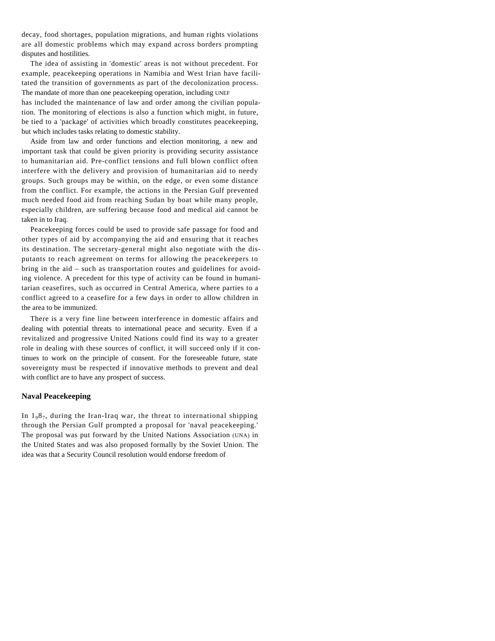decay, food shortages, population migrations, and human rights violations are all domestic problems which may expand across borders prompting disputes and hostilities.

The idea of assisting in 'domestic' areas is not without precedent. For example, peacekeeping operations in Namibia and West Irian have facilitated the transition of governments as part of the decolonization process. The mandate of more than one peacekeeping operation, including UNEF

has included the maintenance of law and order among the civilian population. The monitoring of elections is also a function which might, in future, be tied to a 'package' of activities which broadly constitutes peacekeeping, but which includes tasks relating to domestic stability.

Aside from law and order functions and election monitoring, a new and important task that could be given priority is providing security assistance to humanitarian aid. Pre-conflict tensions and full blown conflict often interfere with the delivery and provision of humanitarian aid to needy groups. Such groups may be within, on the edge, or even some distance from the conflict. For example, the actions in the Persian Gulf prevented much needed food aid from reaching Sudan by boat while many people, especially children, are suffering because food and medical aid cannot be taken in to Iraq.

Peacekeeping forces could be used to provide safe passage for food and other types of aid by accompanying the aid and ensuring that it reaches its destination. The secretary-general might also negotiate with the disputants to reach agreement on terms for allowing the peacekeepers to bring in the aid – such as transportation routes and guidelines for avoiding violence. A precedent for this type of activity can be found in humanitarian ceasefires, such as occurred in Central America, where parties to a conflict agreed to a ceasefire for a few days in order to allow children in the area to be immunized.

There is a very fine line between interference in domestic affairs and dealing with potential threats to international peace and security. Even if a revitalized and progressive United Nations could find its way to a greater role in dealing with these sources of conflict, it will succeed only if it continues to work on the principle of consent. For the foreseeable future, state sovereignty must be respected if innovative methods to prevent and deal with conflict are to have any prospect of success.

### **Naval Peacekeeping**

In  $1_98_7$ , during the Iran-Iraq war, the threat to international shipping through the Persian Gulf prompted a proposal for 'naval peacekeeping.' The proposal was put forward by the United Nations Association (UNA) in the United States and was also proposed formally by the Soviet Union. The idea was that a Security Council resolution would endorse freedom of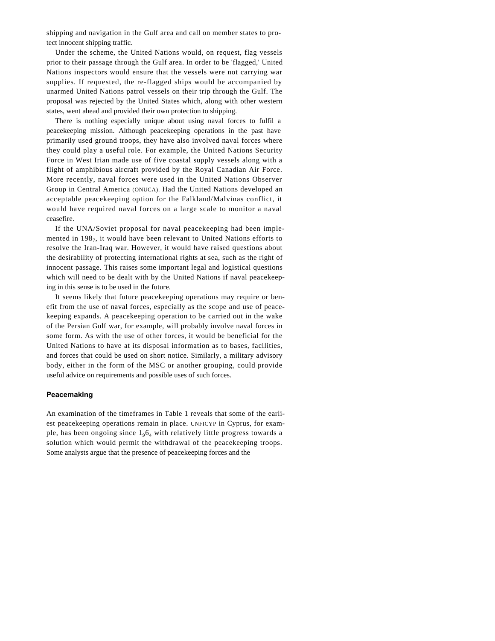shipping and navigation in the Gulf area and call on member states to protect innocent shipping traffic.

Under the scheme, the United Nations would, on request, flag vessels prior to their passage through the Gulf area. In order to be 'flagged,' United Nations inspectors would ensure that the vessels were not carrying war supplies. If requested, the re-flagged ships would be accompanied by unarmed United Nations patrol vessels on their trip through the Gulf. The proposal was rejected by the United States which, along with other western states, went ahead and provided their own protection to shipping.

There is nothing especially unique about using naval forces to fulfil a peacekeeping mission. Although peacekeeping operations in the past have primarily used ground troops, they have also involved naval forces where they could play a useful role. For example, the United Nations Security Force in West Irian made use of five coastal supply vessels along with a flight of amphibious aircraft provided by the Royal Canadian Air Force. More recently, naval forces were used in the United Nations Observer Group in Central America (ONUCA). Had the United Nations developed an acceptable peacekeeping option for the Falkland/Malvinas conflict, it would have required naval forces on a large scale to monitor a naval ceasefire.

If the UNA/Soviet proposal for naval peacekeeping had been implemented in 198<sub>7</sub>, it would have been relevant to United Nations efforts to resolve the Iran-Iraq war. However, it would have raised questions about the desirability of protecting international rights at sea, such as the right of innocent passage. This raises some important legal and logistical questions which will need to be dealt with by the United Nations if naval peacekeeping in this sense is to be used in the future.

It seems likely that future peacekeeping operations may require or benefit from the use of naval forces, especially as the scope and use of peacekeeping expands. A peacekeeping operation to be carried out in the wake of the Persian Gulf war, for example, will probably involve naval forces in some form. As with the use of other forces, it would be beneficial for the United Nations to have at its disposal information as to bases, facilities, and forces that could be used on short notice. Similarly, a military advisory body, either in the form of the MSC or another grouping, could provide useful advice on requirements and possible uses of such forces.

# **Peacemaking**

An examination of the timeframes in Table 1 reveals that some of the earliest peacekeeping operations remain in place. UNFICYP in Cyprus, for example, has been ongoing since  $1_96_4$  with relatively little progress towards a solution which would permit the withdrawal of the peacekeeping troops. Some analysts argue that the presence of peacekeeping forces and the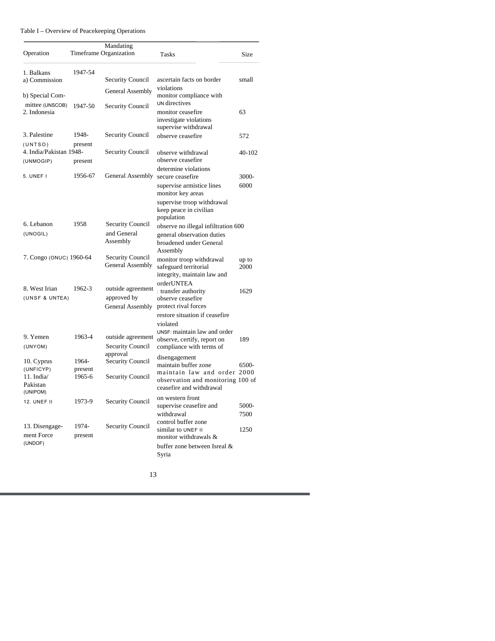| Operation                                          |                   | Mandating<br>Timeframe Organization         | Tasks                                                                                                            | Size          |
|----------------------------------------------------|-------------------|---------------------------------------------|------------------------------------------------------------------------------------------------------------------|---------------|
| 1. Balkans                                         | 1947-54           |                                             |                                                                                                                  |               |
| a) Commission                                      |                   | <b>Security Council</b>                     | ascertain facts on border                                                                                        | small         |
| b) Special Com-<br>mittee (UNSCOB)<br>2. Indonesia | 1947-50           | General Assembly                            | violations<br>monitor compliance with<br>UN directives                                                           |               |
|                                                    |                   | <b>Security Council</b>                     | monitor ceasefire<br>investigate violations<br>supervise withdrawal                                              | 63            |
| 3. Palestine                                       | 1948-             | Security Council                            | observe ceasefire                                                                                                | 572           |
| (UNTSO)                                            | present           |                                             |                                                                                                                  |               |
| 4. India/Pakistan 1948-                            |                   | <b>Security Council</b>                     | observe withdrawal                                                                                               | 40-102        |
| (UNMOGIP)                                          | present           |                                             | observe ceasefire                                                                                                |               |
| 5. UNEF I                                          | 1956-67           | General Assembly secure ceasefire           | determine violations                                                                                             | 3000-         |
|                                                    |                   |                                             | supervise armistice lines<br>monitor key areas                                                                   | 6000          |
|                                                    |                   |                                             | supervise troop withdrawal<br>keep peace in civilian<br>population                                               |               |
| 6. Lebanon                                         | 1958              | Security Council                            | observe no illegal infiltration 600                                                                              |               |
| (UNOGIL)                                           |                   | and General<br>Assembly                     | general observation duties<br>broadened under General<br>Assembly                                                |               |
| 7. Congo (ONUC) 1960-64                            |                   | <b>Security Council</b><br>General Assembly | monitor troop withdrawal<br>safeguard territorial<br>integrity, maintain law and                                 | up to<br>2000 |
| 8. West Irian                                      | 1962-3            | outside agreement                           | orderUNTEA<br>: transfer authority                                                                               | 1629          |
| (UNSF & UNTEA)                                     |                   | approved by<br>General Assembly             | observe ceasefire<br>protect rival forces                                                                        |               |
|                                                    |                   |                                             | restore situation if ceasefire                                                                                   |               |
| 9. Yemen                                           | 1963-4            | outside agreement                           | violated<br>UNSF: maintain law and order<br>observe, certify, report on                                          | 189           |
| (UNYOM)                                            |                   | Security Council                            | compliance with terms of                                                                                         |               |
| 10. Cyprus                                         | 1964-             | approval<br>Security Council                | disengagement<br>maintain buffer zone                                                                            | 6500-         |
| (UNFICYP)<br>11. India $\sqrt$                     | present<br>1965-6 | <b>Security Council</b>                     | maintain law and order 2000                                                                                      |               |
| Pakistan<br>(UNIPOM)                               |                   |                                             | observation and monitoring 100 of<br>ceasefire and withdrawal                                                    |               |
| <b>12. UNEF II</b>                                 | 1973-9            | <b>Security Council</b>                     | on western front<br>supervise ceasefire and                                                                      | 5000-         |
| 13. Disengage-<br>ment Force<br>(UNDOF)            | 1974-<br>present  | <b>Security Council</b>                     | withdrawal<br>control buffer zone<br>similar to UNEF II<br>monitor withdrawals &<br>buffer zone between Isreal & | 7500<br>1250  |
|                                                    |                   |                                             | Syria                                                                                                            |               |

# Table I – Overview of Peacekeeping Operations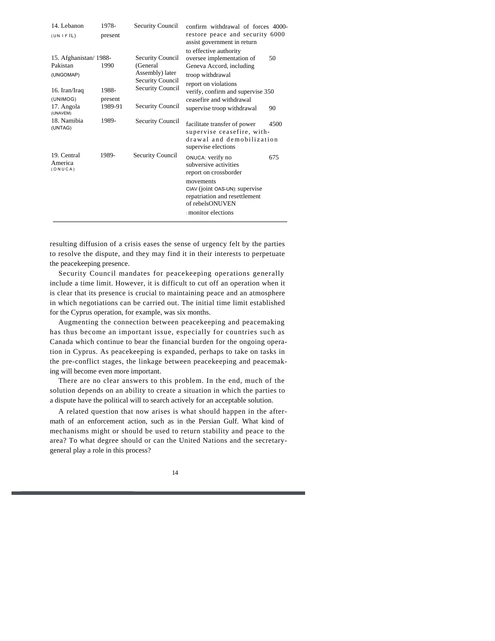| 14. Lebanon                                                                               | 1978-                               | <b>Security Council</b>                                                                                                          | confirm withdrawal of forces 4000-                                                                                                                                                                                                     |
|-------------------------------------------------------------------------------------------|-------------------------------------|----------------------------------------------------------------------------------------------------------------------------------|----------------------------------------------------------------------------------------------------------------------------------------------------------------------------------------------------------------------------------------|
| (UNIFIL)                                                                                  | present                             |                                                                                                                                  | restore peace and security 6000<br>assist government in return                                                                                                                                                                         |
| 15. Afghanistan/1988-<br>Pakistan<br>(UNGOMAP)<br>16. Iran/Iraq<br>(UNIMOG)<br>17. Angola | 1990<br>1988-<br>present<br>1989-91 | Security Council<br>(General<br>Assembly) later<br><b>Security Council</b><br><b>Security Council</b><br><b>Security Council</b> | to effective authority<br>oversee implementation of<br>50<br>Geneva Accord, including<br>troop withdrawal<br>report on violations<br>verify, confirm and supervise 350<br>ceasefire and withdrawal<br>supervise troop withdrawal<br>90 |
| (UNAVEM)<br>18. Namibia<br>(UNTAG)                                                        | 1989-                               | <b>Security Council</b>                                                                                                          | facilitate transfer of power<br>4500<br>supervise ceasefire, with-<br>drawal and demobilization<br>supervise elections                                                                                                                 |
| 19. Central<br>America<br>(ONUCA)                                                         | 1989-                               | Security Council                                                                                                                 | ONUCA: verify no<br>675<br>subversive activities<br>report on crossborder<br>movements<br>CIAV (joint OAS-UN): supervise<br>repatriation and resettlement<br>of rebelsONUVEN<br>: monitor elections                                    |

resulting diffusion of a crisis eases the sense of urgency felt by the parties to resolve the dispute, and they may find it in their interests to perpetuate the peacekeeping presence.

Security Council mandates for peacekeeping operations generally include a time limit. However, it is difficult to cut off an operation when it is clear that its presence is crucial to maintaining peace and an atmosphere in which negotiations can be carried out. The initial time limit established for the Cyprus operation, for example, was six months.

Augmenting the connection between peacekeeping and peacemaking has thus become an important issue, especially for countries such as Canada which continue to bear the financial burden for the ongoing operation in Cyprus. As peacekeeping is expanded, perhaps to take on tasks in the pre-conflict stages, the linkage between peacekeeping and peacemaking will become even more important.

There are no clear answers to this problem. In the end, much of the solution depends on an ability to create a situation in which the parties to a dispute have the political will to search actively for an acceptable solution.

A related question that now arises is what should happen in the aftermath of an enforcement action, such as in the Persian Gulf. What kind of mechanisms might or should be used to return stability and peace to the area? To what degree should or can the United Nations and the secretarygeneral play a role in this process?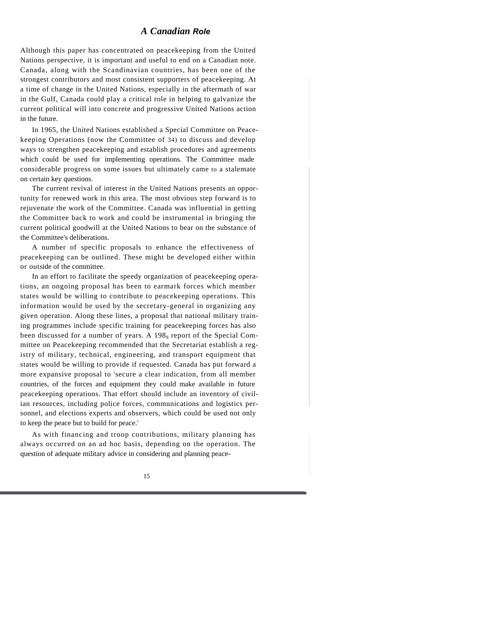# *A Canadian Role*

Although this paper has concentrated on peacekeeping from the United Nations perspective, it is important and useful to end on a Canadian note. Canada, along with the Scandinavian countries, has been one of the strongest contributors and most consistent supporters of peacekeeping. At a time of change in the United Nations, especially in the aftermath of war in the Gulf, Canada could play a critical role in helping to galvanize the current political will into concrete and progressive United Nations action in the future.

In 1965, the United Nations established a Special Committee on Peacekeeping Operations (now the Committee of 34) to discuss and develop ways to strengthen peacekeeping and establish procedures and agreements which could be used for implementing operations. The Committee made considerable progress on some issues but ultimately came to a stalemate on certain key questions.

The current revival of interest in the United Nations presents an opportunity for renewed work in this area. The most obvious step forward is to rejuvenate the work of the Committee. Canada was influential in getting the Committee back to work and could be instrumental in bringing the current political goodwill at the United Nations to bear on the substance of the Committee's deliberations.

A number of specific proposals to enhance the effectiveness of peacekeeping can be outlined. These might be developed either within or outside of the committee.

In an effort to facilitate the speedy organization of peacekeeping operations, an ongoing proposal has been to earmark forces which member states would be willing to contribute to peacekeeping operations. This information would be used by the secretary-general in organizing any given operation. Along these lines, a proposal that national military training programmes include specific training for peacekeeping forces has also been discussed for a number of years. A 198<sub>9</sub> report of the Special Committee on Peacekeeping recommended that the Secretariat establish a registry of military, technical, engineering, and transport equipment that states would be willing to provide if requested. Canada has put forward a more expansive proposal to 'secure a clear indication, from all member countries, of the forces and equipment they could make available in future peacekeeping operations. That effort should include an inventory of civilian resources, including police forces, communications and logistics personnel, and elections experts and observers, which could be used not only to keep the peace but to build for peace.'

As with financing and troop contributions, military planning has always occurred on an ad hoc basis, depending on the operation. The question of adequate military advice in considering and planning peace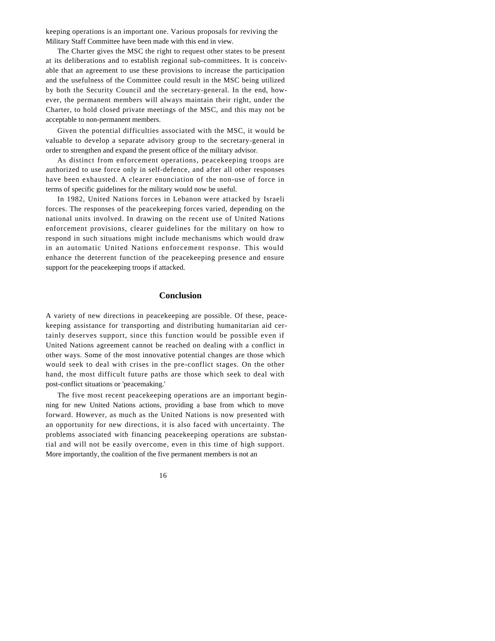keeping operations is an important one. Various proposals for reviving the Military Staff Committee have been made with this end in view.

The Charter gives the MSC the right to request other states to be present at its deliberations and to establish regional sub-committees. It is conceivable that an agreement to use these provisions to increase the participation and the usefulness of the Committee could result in the MSC being utilized by both the Security Council and the secretary-general. In the end, however, the permanent members will always maintain their right, under the Charter, to hold closed private meetings of the MSC, and this may not be acceptable to non-permanent members.

Given the potential difficulties associated with the MSC, it would be valuable to develop a separate advisory group to the secretary-general in order to strengthen and expand the present office of the military advisor.

As distinct from enforcement operations, peacekeeping troops are authorized to use force only in self-defence, and after all other responses have been exhausted. A clearer enunciation of the non-use of force in terms of specific guidelines for the military would now be useful.

In 1982, United Nations forces in Lebanon were attacked by Israeli forces. The responses of the peacekeeping forces varied, depending on the national units involved. In drawing on the recent use of United Nations enforcement provisions, clearer guidelines for the military on how to respond in such situations might include mechanisms which would draw in an automatic United Nations enforcement response. This would enhance the deterrent function of the peacekeeping presence and ensure support for the peacekeeping troops if attacked.

# **Conclusion**

A variety of new directions in peacekeeping are possible. Of these, peacekeeping assistance for transporting and distributing humanitarian aid certainly deserves support, since this function would be possible even if United Nations agreement cannot be reached on dealing with a conflict in other ways. Some of the most innovative potential changes are those which would seek to deal with crises in the pre-conflict stages. On the other hand, the most difficult future paths are those which seek to deal with post-conflict situations or 'peacemaking.'

The five most recent peacekeeping operations are an important beginning for new United Nations actions, providing a base from which to move forward. However, as much as the United Nations is now presented with an opportunity for new directions, it is also faced with uncertainty. The problems associated with financing peacekeeping operations are substantial and will not be easily overcome, even in this time of high support. More importantly, the coalition of the five permanent members is not an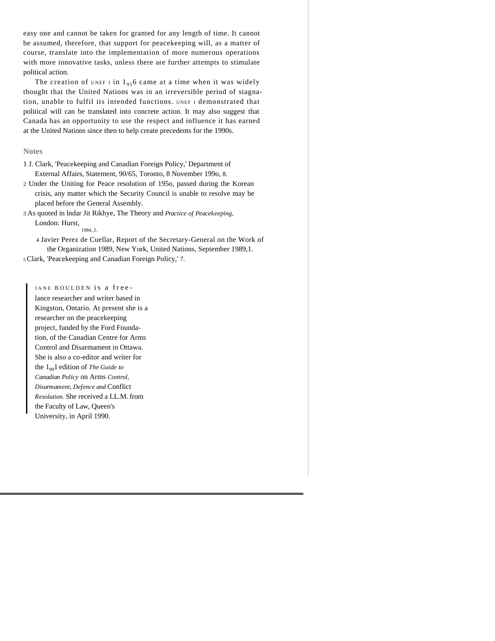easy one and cannot be taken for granted for any length of time. It cannot be assumed, therefore, that support for peacekeeping will, as a matter of course, translate into the implementation of more numerous operations with more innovative tasks, unless there are further attempts to stimulate political action.

The creation of UNEF I in  $1_{95}$  came at a time when it was widely thought that the United Nations was in an irreversible period of stagnation, unable to fulfil its intended functions. UNEF I demonstrated that political will can be translated into concrete action. It may also suggest that Canada has an opportunity to use the respect and influence it has earned at the United Nations since then to help create precedents for the 1990s.

# **Notes**

- 1 J. Clark, 'Peacekeeping and Canadian Foreign Policy,' Department of External Affairs, Statement, 90/65, Toronto, 8 November 199o, 8.
- 2 Under the Uniting for Peace resolution of 195o, passed during the Korean crisis, any matter which the Security Council is unable to resolve may be placed before the General Assembly.

3 As quoted in lndar Jit Rikhye, The Theory and *Practice of Peacekeeping,*  London: Hurst,

1984, 2.

4 Javier Perez de Cuellar, Report of the Secretary-General on the Work of the Organization 1989, New York, United Nations, September 1989,1.

<sup>5</sup>Clark, 'Peacekeeping and Canadian Foreign Policy,' 7.

JANE BOULDEN is a freelance researcher and writer based in Kingston, Ontario. At present she is a researcher on the peacekeeping project, funded by the Ford Foundation, of the Canadian Centre for Arms Control and Disarmament in Ottawa. She is also a co-editor and writer for the 1991 edition of *The Guide to Canadian Policy* on Arms *Control, Disarmament, Defence and* Conflict *Resolution.* She received a LL.M. from the Faculty of Law, Queen's University, in April 1990.